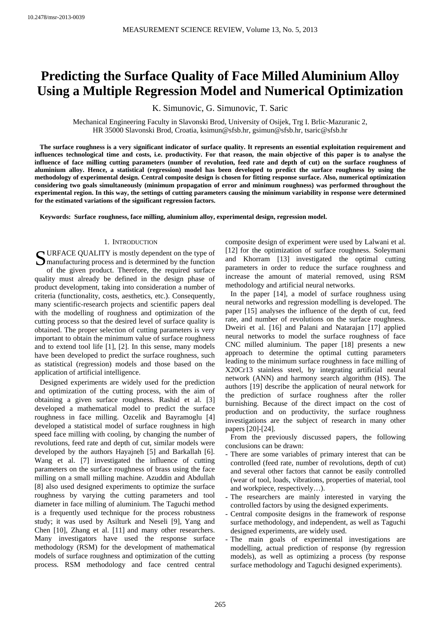# **Predicting the Surface Quality of Face Milled Aluminium Alloy Using a Multiple Regression Model and Numerical Optimization**

K. Simunovic, G. Simunovic, T. Saric

Mechanical Engineering Faculty in Slavonski Brod, University of Osijek, Trg I. Brlic-Mazuranic 2, HR 35000 Slavonski Brod, Croatia, ksimun@sfsb.hr, gsimun@sfsb.hr, tsaric@sfsb.hr

**The surface roughness is a very significant indicator of surface quality. It represents an essential exploitation requirement and influences technological time and costs, i.e. productivity. For that reason, the main objective of this paper is to analyse the influence of face milling cutting parameters (number of revolution, feed rate and depth of cut) on the surface roughness of aluminium alloy. Hence, a statistical (regression) model has been developed to predict the surface roughness by using the methodology of experimental design. Central composite design is chosen for fitting response surface. Also, numerical optimization considering two goals simultaneously (minimum propagation of error and minimum roughness) was performed throughout the experimental region. In this way, the settings of cutting parameters causing the minimum variability in response were determined for the estimated variations of the significant regression factors.** 

**Keywords: Surface roughness, face milling, aluminium alloy, experimental design, regression model.** 

## 1. INTRODUCTION

SURFACE QUALITY is mostly dependent on the type of<br>
Sumanufacturing process and is determined by the function<br>
of the distance of the sum manufacturing process and is determined by the function of the given product. Therefore, the required surface quality must already be defined in the design phase of product development, taking into consideration a number of criteria (functionality, costs, aesthetics, etc.). Consequently, many scientific-research projects and scientific papers deal with the modelling of roughness and optimization of the cutting process so that the desired level of surface quality is obtained. The proper selection of cutting parameters is very important to obtain the minimum value of surface roughness and to extend tool life [1], [2]. In this sense, many models have been developed to predict the surface roughness, such as statistical (regression) models and those based on the application of artificial intelligence.

Designed experiments are widely used for the prediction and optimization of the cutting process, with the aim of obtaining a given surface roughness. Rashid et al. [3] developed a mathematical model to predict the surface roughness in face milling. Ozcelik and Bayramoglu [4] developed a statistical model of surface roughness in high speed face milling with cooling, by changing the number of revolutions, feed rate and depth of cut, similar models were developed by the authors Hayajneh [5] and Barkallah [6]. Wang et al. [7] investigated the influence of cutting parameters on the surface roughness of brass using the face milling on a small milling machine. Azuddin and Abdullah [8] also used designed experiments to optimize the surface roughness by varying the cutting parameters and tool diameter in face milling of aluminium. The Taguchi method is a frequently used technique for the process robustness study; it was used by Asilturk and Neseli [9], Yang and Chen [10], Zhang et al. [11] and many other researchers. Many investigators have used the response surface methodology (RSM) for the development of mathematical models of surface roughness and optimization of the cutting process. RSM methodology and face centred central composite design of experiment were used by Lalwani et al. [12] for the optimization of surface roughness. Soleymani and Khorram [13] investigated the optimal cutting parameters in order to reduce the surface roughness and increase the amount of material removed, using RSM methodology and artificial neural networks.

In the paper [14], a model of surface roughness using neural networks and regression modelling is developed. The paper [15] analyses the influence of the depth of cut, feed rate, and number of revolutions on the surface roughness. Dweiri et al. [16] and Palani and Natarajan [17] applied neural networks to model the surface roughness of face CNC milled aluminium. The paper [18] presents a new approach to determine the optimal cutting parameters leading to the minimum surface roughness in face milling of X20Cr13 stainless steel, by integrating artificial neural network (ANN) and harmony search algorithm (HS). The authors [19] describe the application of neural network for the prediction of surface roughness after the roller burnishing. Because of the direct impact on the cost of production and on productivity, the surface roughness investigations are the subject of research in many other papers [20]-[24].

From the previously discussed papers, the following conclusions can be drawn:

- There are some variables of primary interest that can be controlled (feed rate, number of revolutions, depth of cut) and several other factors that cannot be easily controlled (wear of tool, loads, vibrations, properties of material, tool and workpiece, respectively…).
- The researchers are mainly interested in varying the controlled factors by using the designed experiments.
- Central composite designs in the framework of response surface methodology, and independent, as well as Taguchi designed experiments, are widely used.
- The main goals of experimental investigations are modelling, actual prediction of response (by regression models), as well as optimizing a process (by response surface methodology and Taguchi designed experiments).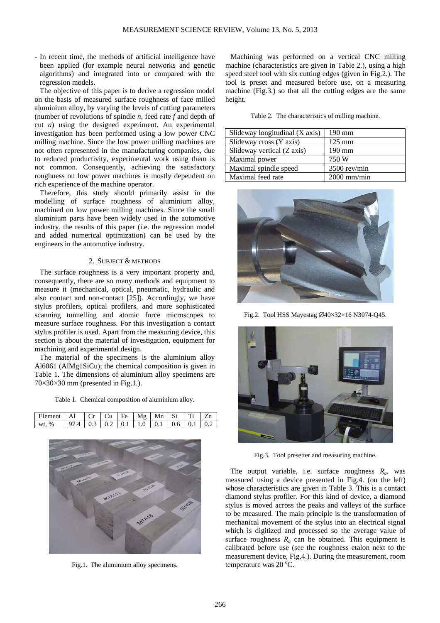- In recent time, the methods of artificial intelligence have been applied (for example neural networks and genetic algorithms) and integrated into or compared with the regression models.

The objective of this paper is to derive a regression model on the basis of measured surface roughness of face milled aluminium alloy, by varying the levels of cutting parameters (number of revolutions of spindle *n*, feed rate *f* and depth of cut *a*) using the designed experiment. An experimental investigation has been performed using a low power CNC milling machine. Since the low power milling machines are not often represented in the manufacturing companies, due to reduced productivity, experimental work using them is not common. Consequently, achieving the satisfactory roughness on low power machines is mostly dependent on rich experience of the machine operator.

Therefore, this study should primarily assist in the modelling of surface roughness of aluminium alloy, machined on low power milling machines. Since the small aluminium parts have been widely used in the automotive industry, the results of this paper (i.e. the regression model and added numerical optimization) can be used by the engineers in the automotive industry.

### 2. SUBJECT & METHODS

The surface roughness is a very important property and, consequently, there are so many methods and equipment to measure it (mechanical, optical, pneumatic, hydraulic and also contact and non-contact [25]). Accordingly, we have stylus profilers, optical profilers, and more sophisticated scanning tunnelling and atomic force microscopes to measure surface roughness. For this investigation a contact stylus profiler is used. Apart from the measuring device, this section is about the material of investigation, equipment for machining and experimental design.

The material of the specimens is the aluminium alloy Al6061 (AlMg1SiCu); the chemical composition is given in Table 1. The dimensions of aluminium alloy specimens are  $70\times30\times30$  mm (presented in Fig.1.).

Table 1. Chemical composition of aluminium alloy.

| Element   Al $ Cr Cu Fe Mg Mn Si Ti Zn $ |                                                                                                                      |  |  |  |  |
|------------------------------------------|----------------------------------------------------------------------------------------------------------------------|--|--|--|--|
| wt. %                                    | $\vert$ 97.4 $\vert$ 0.3 $\vert$ 0.2 $\vert$ 0.1 $\vert$ 1.0 $\vert$ 0.1 $\vert$ 0.6 $\vert$ 0.1 $\vert$ 0.2 $\vert$ |  |  |  |  |



Fig.1. The aluminium alloy specimens.

Machining was performed on a vertical CNC milling machine (characteristics are given in Table 2.), using a high speed steel tool with six cutting edges (given in Fig.2.). The tool is preset and measured before use, on a measuring machine (Fig.3.) so that all the cutting edges are the same height.

Table 2. The characteristics of milling machine.

| Slideway longitudinal (X axis) | $190 \text{ mm}$ |
|--------------------------------|------------------|
| Slideway cross (Y axis)        | $125 \text{ mm}$ |
| Slideway vertical (Z axis)     | $190 \text{ mm}$ |
| Maximal power                  | 750 W            |
| Maximal spindle speed          | $3500$ rev/min   |
| Maximal feed rate              | $2000$ mm/min    |



Fig.2. Tool HSS Mayestag ∅40×32×16 N3074-Q45.



Fig.3. Tool presetter and measuring machine.

The output variable, i.e. surface roughness  $R_a$ , was measured using a device presented in Fig.4. (on the left) whose characteristics are given in Table 3. This is a contact diamond stylus profiler. For this kind of device, a diamond stylus is moved across the peaks and valleys of the surface to be measured. The main principle is the transformation of mechanical movement of the stylus into an electrical signal which is digitized and processed so the average value of surface roughness  $R_a$  can be obtained. This equipment is calibrated before use (see the roughness etalon next to the measurement device, Fig.4.). During the measurement, room temperature was  $20^{\circ}$ C.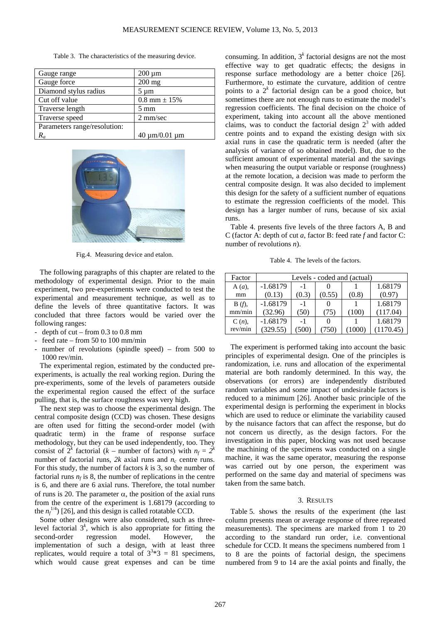|  |  |  |  | Table 3. The characteristics of the measuring device. |
|--|--|--|--|-------------------------------------------------------|
|--|--|--|--|-------------------------------------------------------|

| Gauge range                  | $200 \mu m$             |
|------------------------------|-------------------------|
| Gauge force                  | $200$ mg                |
| Diamond stylus radius        | $5 \mu m$               |
| Cut off value                | $0.8$ mm $\pm 15%$      |
| Traverse length              | $5 \text{ mm}$          |
| Traverse speed               | 2 mm/sec                |
| Parameters range/resolution: |                         |
|                              | $40 \mu m / 0.01 \mu m$ |



Fig.4. Measuring device and etalon.

The following paragraphs of this chapter are related to the methodology of experimental design. Prior to the main experiment, two pre-experiments were conducted to test the experimental and measurement technique, as well as to define the levels of three quantitative factors. It was concluded that three factors would be varied over the following ranges:

- depth of  $cut from 0.3$  to 0.8 mm
- feed rate from 50 to 100 mm/min
- number of revolutions (spindle speed) from  $500$  to 1000 rev/min.

The experimental region, estimated by the conducted preexperiments, is actually the real working region. During the pre-experiments, some of the levels of parameters outside the experimental region caused the effect of the surface pulling, that is, the surface roughness was very high.

The next step was to choose the experimental design. The central composite design (CCD) was chosen. These designs are often used for fitting the second-order model (with quadratic term) in the frame of response surface methodology, but they can be used independently, too. They consist of  $2^k$  factorial (*k* – number of factors) with  $n_f = 2^k$ number of factorial runs,  $2k$  axial runs and  $n_c$  centre runs. For this study, the number of factors *k* is 3, so the number of factorial runs  $n_f$  is 8, the number of replications in the centre is 6, and there are 6 axial runs. Therefore, the total number of runs is 20. The parameter  $\alpha$ , the position of the axial runs from the centre of the experiment is 1.68179 (according to the  $n_f^{1/4}$ ) [26], and this design is called rotatable CCD.

Some other designs were also considered, such as threelevel factorial  $3<sup>k</sup>$ , which is also appropriate for fitting the second-order regression model. However, the implementation of such a design, with at least three replicates, would require a total of  $3^{3*}3 = 81$  specimens, which would cause great expenses and can be time

consuming. In addition,  $3<sup>k</sup>$  factorial designs are not the most effective way to get quadratic effects; the designs in response surface methodology are a better choice [26]. Furthermore, to estimate the curvature, addition of centre points to a  $2^k$  factorial design can be a good choice, but sometimes there are not enough runs to estimate the model's regression coefficients. The final decision on the choice of experiment, taking into account all the above mentioned claims, was to conduct the factorial design  $2<sup>3</sup>$  with added centre points and to expand the existing design with six axial runs in case the quadratic term is needed (after the analysis of variance of so obtained model). But, due to the sufficient amount of experimental material and the savings when measuring the output variable or response (roughness) at the remote location, a decision was made to perform the central composite design. It was also decided to implement this design for the safety of a sufficient number of equations to estimate the regression coefficients of the model. This design has a larger number of runs, because of six axial runs.

Table 4. presents five levels of the three factors A, B and C (factor A: depth of cut *a*, factor B: feed rate *f* and factor C: number of revolutions *n*).

Table 4. The levels of the factors.

| Factor   | Levels - coded and (actual) |       |        |       |           |  |  |
|----------|-----------------------------|-------|--------|-------|-----------|--|--|
| $A(a)$ , | $-1.68179$                  | $-1$  |        |       | 1.68179   |  |  |
| mm       | (0.13)                      | (0.3) | (0.55) | (0.8) | (0.97)    |  |  |
| $B(f)$ , | $-1.68179$                  | $-1$  |        |       | 1.68179   |  |  |
| mm/min   | (32.96)                     | (50)  | (75)   | (100) | (117.04)  |  |  |
| $C(n)$ , | $-1.68179$                  | -1    |        |       | 1.68179   |  |  |
| rev/min  | (329.55)                    |       |        |       | (1170.45) |  |  |

The experiment is performed taking into account the basic principles of experimental design. One of the principles is randomization, i.e. runs and allocation of the experimental material are both randomly determined. In this way, the observations (or errors) are independently distributed random variables and some impact of undesirable factors is reduced to a minimum [26]. Another basic principle of the experimental design is performing the experiment in blocks which are used to reduce or eliminate the variability caused by the nuisance factors that can affect the response, but do not concern us directly, as the design factors. For the investigation in this paper, blocking was not used because the machining of the specimens was conducted on a single machine, it was the same operator, measuring the response was carried out by one person, the experiment was performed on the same day and material of specimens was taken from the same batch.

#### 3. RESULTS

Table 5. shows the results of the experiment (the last column presents mean or average response of three repeated measurements). The specimens are marked from 1 to 20 according to the standard run order, i.e. conventional schedule for CCD. It means the specimens numbered from 1 to 8 are the points of factorial design, the specimens numbered from 9 to 14 are the axial points and finally, the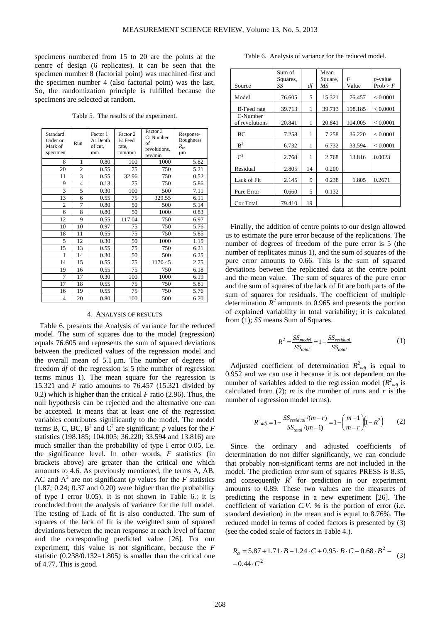specimens numbered from 15 to 20 are the points at the centre of design (6 replicates). It can be seen that the specimen number 8 (factorial point) was machined first and the specimen number 4 (also factorial point) was the last. So, the randomization principle is fulfilled because the specimens are selected at random.

Table 5. The results of the experiment.

| Standard<br>Order or<br>Mark of<br>specimen | Run            | Factor 1<br>A: Depth<br>of cut.<br>mm | Factor 2<br><b>B</b> : Feed<br>rate,<br>mm/min | Factor 3<br>C: Number<br>of<br>revolutions,<br>rev/min | Response-<br>Roughness<br>$R_a$<br>μm |
|---------------------------------------------|----------------|---------------------------------------|------------------------------------------------|--------------------------------------------------------|---------------------------------------|
| 8                                           | 1              | 0.80                                  | 100                                            | 1000                                                   | 5.82                                  |
| 20                                          | $\overline{2}$ | 0.55                                  | 75                                             | 750                                                    | 5.21                                  |
| 11                                          | 3              | 0.55                                  | 32.96                                          | 750                                                    | 0.52                                  |
| 9                                           | 4              | 0.13                                  | 75                                             | 750                                                    | 5.86                                  |
| 3                                           | 5              | 0.30                                  | 100                                            | 500                                                    | 7.11                                  |
| 13                                          | 6              | 0.55                                  | 75                                             | 329.55                                                 | 6.11                                  |
| $\overline{c}$                              | 7              | 0.80                                  | 50                                             | 500                                                    | 5.14                                  |
| 6                                           | 8              | 0.80                                  | 50                                             | 1000                                                   | 0.83                                  |
| 12                                          | 9              | 0.55                                  | 117.04                                         | 750                                                    | 6.97                                  |
| 10                                          | 10             | 0.97                                  | 75                                             | 750                                                    | 5.76                                  |
| 18                                          | 11             | 0.55                                  | 75                                             | 750                                                    | 5.85                                  |
| 5                                           | 12             | 0.30                                  | 50                                             | 1000                                                   | 1.15                                  |
| 15                                          | 13             | 0.55                                  | 75                                             | 750                                                    | 6.21                                  |
| 1                                           | 14             | 0.30                                  | 50                                             | 500                                                    | 6.25                                  |
| 14                                          | 15             | 0.55                                  | 75                                             | 1170.45                                                | 2.75                                  |
| 19                                          | 16             | 0.55                                  | 75                                             | 750                                                    | 6.18                                  |
| 7                                           | 17             | 0.30                                  | 100                                            | 1000                                                   | 6.19                                  |
| 17                                          | 18             | 0.55                                  | 75                                             | 750                                                    | 5.81                                  |
| 16                                          | 19             | 0.55                                  | 75                                             | 750                                                    | 5.76                                  |
| $\overline{4}$                              | 20             | 0.80                                  | 100                                            | 500                                                    | 6.70                                  |

#### 4. ANALYSIS OF RESULTS

Table 6. presents the Analysis of variance for the reduced model. The sum of squares due to the model (regression) equals 76.605 and represents the sum of squared deviations between the predicted values of the regression model and the overall mean of 5.1 μm. The number of degrees of freedom *df* of the regression is 5 (the number of regression terms minus 1). The mean square for the regression is 15.321 and *F* ratio amounts to 76.457 (15.321 divided by 0.2) which is higher than the critical *F* ratio (2.96). Thus, the null hypothesis can be rejected and the alternative one can be accepted. It means that at least one of the regression variables contributes significantly to the model. The model terms B, C, BC,  $B^2$  and  $C^2$  are significant; *p* values for the *F* statistics (198.185; 104.005; 36.220; 33.594 and 13.816) are much smaller than the probability of type I error 0.05, i.e. the significance level. In other words, *F* statistics (in brackets above) are greater than the critical one which amounts to 4.6. As previously mentioned, the terms A, AB, AC and  $A^2$  are not significant (*p* values for the *F* statistics  $(1.87; 0.24; 0.37$  and  $(0.20)$  were higher than the probability of type I error 0.05). It is not shown in Table 6.; it is concluded from the analysis of variance for the full model. The testing of Lack of fit is also conducted. The sum of squares of the lack of fit is the weighted sum of squared deviations between the mean response at each level of factor and the corresponding predicted value [26]. For our experiment, this value is not significant, because the *F* statistic  $(0.238/0.132=1.805)$  is smaller than the critical one of 4.77. This is good.

Table 6. Analysis of variance for the reduced model.

|                            | Sum of   |    | Mean    |         |                 |
|----------------------------|----------|----|---------|---------|-----------------|
|                            | Squares, |    | Square, | F       | <i>p</i> -value |
| Source                     | SS       | df | МS      | Value   | Prob > F        |
| Model                      | 76.605   | 5  | 15.321  | 76.457  | < 0.0001        |
| <b>B-Feed rate</b>         | 39.713   | 1  | 39.713  | 198.185 | < 0.0001        |
| C-Number<br>of revolutions | 20.841   | 1  | 20.841  | 104.005 | < 0.0001        |
| ВC                         | 7.258    | 1  | 7.258   | 36.220  | < 0.0001        |
| $R^2$                      | 6.732    | 1  | 6.732   | 33.594  | < 0.0001        |
| $C^2$                      | 2.768    | 1  | 2.768   | 13.816  | 0.0023          |
| Residual                   | 2.805    | 14 | 0.200   |         |                 |
| Lack of Fit                | 2.145    | 9  | 0.238   | 1.805   | 0.2671          |
| Pure Error                 | 0.660    | 5  | 0.132   |         |                 |
| Cor Total                  | 79.410   | 19 |         |         |                 |

Finally, the addition of centre points to our design allowed us to estimate the pure error because of the replications. The number of degrees of freedom of the pure error is 5 (the number of replicates minus 1), and the sum of squares of the pure error amounts to 0.66. This is the sum of squared deviations between the replicated data at the centre point and the mean value. The sum of squares of the pure error and the sum of squares of the lack of fit are both parts of the sum of squares for residuals. The coefficient of multiple determination  $R^2$  amounts to 0.965 and presents the portion of explained variability in total variability; it is calculated from (1); *SS* means Sum of Squares.

$$
R^2 = \frac{SS_{model}}{SS_{total}} = 1 - \frac{SS_{residual}}{SS_{total}}
$$
(1)

Adjusted coefficient of determination  $R^2_{adj}$  is equal to 0.952 and we can use it because it is not dependent on the number of variables added to the regression model  $(R^2_{adj}$  is calculated from (2); *m* is the number of runs and *r* is the number of regression model terms).

$$
R^{2}_{\text{adj}} = 1 - \frac{SS_{\text{residual}}/(m-r)}{SS_{\text{total}}/(m-1)} = 1 - \left(\frac{m-1}{m-r}\right) \left(1 - R^{2}\right) \tag{2}
$$

Since the ordinary and adjusted coefficients of determination do not differ significantly, we can conclude that probably non-significant terms are not included in the model. The prediction error sum of squares PRESS is 8.35, and consequently  $R^2$  for prediction in our experiment amounts to 0.89. These two values are the measures of predicting the response in a new experiment [26]. The coefficient of variation *C.V. %* is the portion of error (i.e. standard deviation) in the mean and is equal to 8.76%. The reduced model in terms of coded factors is presented by (3) (see the coded scale of factors in Table 4.).

$$
R_a = 5.87 + 1.71 \cdot B - 1.24 \cdot C + 0.95 \cdot B \cdot C - 0.68 \cdot B^2 - 0.44 \cdot C^2
$$
 (3)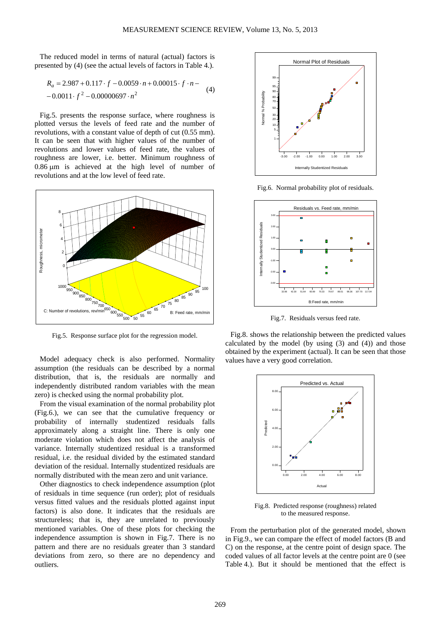The reduced model in terms of natural (actual) factors is presented by (4) (see the actual levels of factors in Table 4.).

$$
R_a = 2.987 + 0.117 \cdot f - 0.0059 \cdot n + 0.00015 \cdot f \cdot n -
$$
  
-0.0011 \cdot f<sup>2</sup> - 0.00000697 \cdot n<sup>2</sup> (4)

Fig.5. presents the response surface, where roughness is plotted versus the levels of feed rate and the number of revolutions, with a constant value of depth of cut (0.55 mm). It can be seen that with higher values of the number of revolutions and lower values of feed rate, the values of roughness are lower, i.e. better. Minimum roughness of 0.86 μm is achieved at the high level of number of revolutions and at the low level of feed rate.



Fig.5. Response surface plot for the regression model.

Model adequacy check is also performed. Normality assumption (the residuals can be described by a normal distribution, that is, the residuals are normally and independently distributed random variables with the mean zero) is checked using the normal probability plot.

From the visual examination of the normal probability plot (Fig.6.), we can see that the cumulative frequency or probability of internally studentized residuals falls approximately along a straight line. There is only one moderate violation which does not affect the analysis of variance. Internally studentized residual is a transformed residual, i.e. the residual divided by the estimated standard deviation of the residual. Internally studentized residuals are normally distributed with the mean zero and unit variance.

Other diagnostics to check independence assumption (plot of residuals in time sequence (run order); plot of residuals versus fitted values and the residuals plotted against input factors) is also done. It indicates that the residuals are structureless; that is, they are unrelated to previously mentioned variables. One of these plots for checking the independence assumption is shown in Fig.7. There is no pattern and there are no residuals greater than 3 standard deviations from zero, so there are no dependency and outliers.



Fig.6. Normal probability plot of residuals.



Fig.7. Residuals versus feed rate.

Fig.8. shows the relationship between the predicted values calculated by the model (by using  $(3)$  and  $(4)$ ) and those obtained by the experiment (actual). It can be seen that those values have a very good correlation.



Fig.8. Predicted response (roughness) related to the measured response.

From the perturbation plot of the generated model, shown in Fig.9., we can compare the effect of model factors (B and C) on the response, at the centre point of design space. The coded values of all factor levels at the centre point are 0 (see Table 4.). But it should be mentioned that the effect is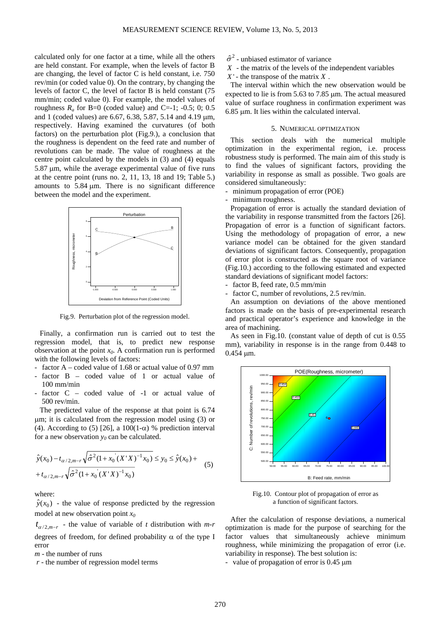calculated only for one factor at a time, while all the others are held constant. For example, when the levels of factor B are changing, the level of factor C is held constant, i.e. 750 rev/min (or coded value 0). On the contrary, by changing the levels of factor C, the level of factor B is held constant (75 mm/min; coded value 0). For example, the model values of roughness  $R_a$  for B=0 (coded value) and C=-1; -0.5; 0; 0.5 and 1 (coded values) are 6.67, 6.38, 5.87, 5.14 and 4.19 μm, respectively. Having examined the curvatures (of both factors) on the perturbation plot (Fig.9.), a conclusion that the roughness is dependent on the feed rate and number of revolutions can be made. The value of roughness at the centre point calculated by the models in (3) and (4) equals 5.87 μm, while the average experimental value of five runs at the centre point (runs no. 2, 11, 13, 18 and 19; Table 5.) amounts to 5.84 μm. There is no significant difference between the model and the experiment.



Fig.9. Perturbation plot of the regression model.

Finally, a confirmation run is carried out to test the regression model, that is, to predict new response observation at the point *x0*. A confirmation run is performed with the following levels of factors:

- factor A coded value of 1.68 or actual value of 0.97 mm
- $factor$  B coded value of 1 or actual value of 100 mm/min
- factor  $C coded$  value of  $-1$  or actual value of 500 rev/min.

The predicted value of the response at that point is 6.74 μm; it is calculated from the regression model using (3) or (4). According to (5) [26], a  $100(1-\alpha)$  % prediction interval for a new observation  $y_0$  can be calculated.

$$
\hat{y}(x_0) - t_{\alpha/2, m-r} \sqrt{\hat{\sigma}^2 (1 + x_0 (X'X)^{-1} x_0)} \le y_0 \le \hat{y}(x_0) + t_{\alpha/2, m-r} \sqrt{\hat{\sigma}^2 (1 + x_0 (X'X)^{-1} x_0)}\n \tag{5}
$$

where:

 $\hat{y}(x_0)$  - the value of response predicted by the regression model at new observation point *x0*

 $t_{\alpha/2,m-r}$  - the value of variable of *t* distribution with *m-r* degrees of freedom, for defined probability  $\alpha$  of the type I error

*m* - the number of runs

 *r* - the number of regression model terms

- $\hat{\sigma}^2$  unbiased estimator of variance
- *X* the matrix of the levels of the independent variables
- $X'$  the transpose of the matrix  $X$ .

The interval within which the new observation would be expected to lie is from 5.63 to 7.85 μm. The actual measured value of surface roughness in confirmation experiment was 6.85 μm. It lies within the calculated interval.

### 5. NUMERICAL OPTIMIZATION

This section deals with the numerical multiple optimization in the experimental region, i.e. process robustness study is performed. The main aim of this study is to find the values of significant factors, providing the variability in response as small as possible. Two goals are considered simultaneously:

- minimum propagation of error (POE)
- minimum roughness.

Propagation of error is actually the standard deviation of the variability in response transmitted from the factors [26]. Propagation of error is a function of significant factors. Using the methodology of propagation of error, a new variance model can be obtained for the given standard deviations of significant factors. Consequently, propagation of error plot is constructed as the square root of variance (Fig.10.) according to the following estimated and expected standard deviations of significant model factors:

- factor B, feed rate, 0.5 mm/min
- factor C, number of revolutions, 2.5 rev/min.

An assumption on deviations of the above mentioned factors is made on the basis of pre-experimental research and practical operator's experience and knowledge in the area of machining.

As seen in Fig.10. (constant value of depth of cut is 0.55 mm), variability in response is in the range from 0.448 to 0.454 μm.



Fig.10. Contour plot of propagation of error as a function of significant factors.

After the calculation of response deviations, a numerical optimization is made for the purpose of searching for the factor values that simultaneously achieve minimum roughness, while minimizing the propagation of error (i.e. variability in response). The best solution is:

- value of propagation of error is 0.45 μm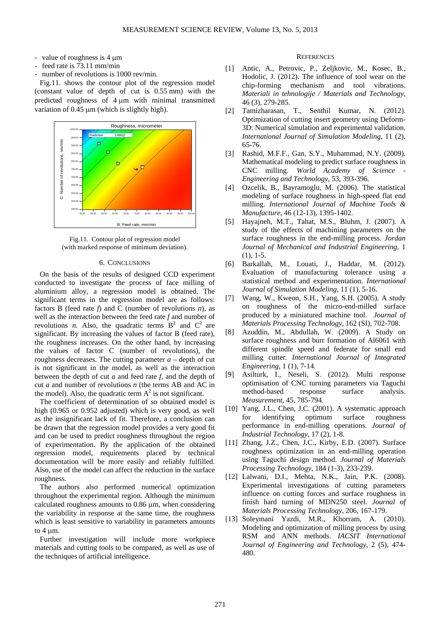- value of roughness is 4 μm
- feed rate is 73.11 mm/min
- number of revolutions is 1000 rev/min.

Fig.11. shows the contour plot of the regression model (constant value of depth of cut is 0.55 mm) with the predicted roughness of 4 μm with minimal transmitted variation of 0.45 μm (which is slightly high).



Fig.11. Contour plot of regression model (with marked response of minimum deviation).

### 6. CONCLUSIONS

On the basis of the results of designed CCD experiment conducted to investigate the process of face milling of aluminium alloy, a regression model is obtained. The significant terms in the regression model are as follows: factors B (feed rate *f*) and C (number of revolutions *n*), as well as the interaction between the feed rate *f* and number of revolutions *n*. Also, the quadratic terms  $B^2$  and  $C^2$  are significant. By increasing the values of factor B (feed rate), the roughness increases. On the other hand, by increasing the values of factor C (number of revolutions), the roughness decreases. The cutting parameter  $a -$  depth of cut is not significant in the model, as well as the interaction between the depth of cut *a* and feed rate *f*, and the depth of cut *a* and number of revolutions *n* (the terms AB and AC in the model). Also, the quadratic term  $A^2$  is not significant.

The coefficient of determination of so obtained model is high (0.965 or 0.952 adjusted) which is very good, as well as the insignificant lack of fit. Therefore, a conclusion can be drawn that the regression model provides a very good fit and can be used to predict roughness throughout the region of experimentation. By the application of the obtained regression model, requirements placed by technical documentation will be more easily and reliably fulfilled. Also, use of the model can affect the reduction in the surface roughness.

The authors also performed numerical optimization throughout the experimental region. Although the minimum calculated roughness amounts to 0.86 μm, when considering the variability in response at the same time, the roughness which is least sensitive to variability in parameters amounts to 4 μm.

Further investigation will include more workpiece materials and cutting tools to be compared, as well as use of the techniques of artificial intelligence.

#### **REFERENCES**

- [1] Antic, A., Petrovic, P., Zeljkovic, M., Kosec, B., Hodolic, J. (2012). The influence of tool wear on the chip-forming mechanism and tool vibrations. *Materiali in tehnologije / Materials and Technology*, 46 (3), 279-285.
- [2] Tamizharasan, T., Senthil Kumar, N. (2012). Optimization of cutting insert geometry using Deform-3D: Numerical simulation and experimental validation. *International Journal of Simulation Modeling*, 11 (2), 65-76.
- [3] Rashid, M.F.F., Gan, S.Y., Muhammad, N.Y. (2009). Mathematical modeling to predict surface roughness in CNC milling. *World Academy of Science - Engineering and Technology*, 53, 393-396.
- [4] Ozcelik, B., Bayramoglu, M. (2006). The statistical modeling of surface roughness in high-speed flat end milling. *International Journal of Machine Tools & Manufacture*, 46 (12-13), 1395-1402.
- [5] Hayajneh, M.T., Tahat, M.S., Bluhm, J. (2007). A study of the effects of machining parameters on the surface roughness in the end-milling process. *Jordan Journal of Mechanical and Industrial Engineering*, 1 (1), 1-5.
- [6] Barkallah, M., Louati, J., Haddar, M. (2012). Evaluation of manufacturing tolerance using a statistical method and experimentation. *International Journal of Simulation Modeling,* 11 (1), 5-16.
- [7] Wang, W., Kweon, S.H., Yang, S.H. (2005). A study on roughness of the micro-end-milled surface produced by a miniatured machine tool. *Journal of Materials Processing Technology*, 162 (SI), 702-708.
- [8] Azuddin, M., Abdullah, W. (2009). A Study on surface roughness and burr formation of Al6061 with different spindle speed and federate for small end milling cutter*. International Journal of Integrated Engineering*, 1 (1), 7-14.
- [9] Asilturk, I., Neseli, S. (2012). Multi response optimisation of CNC turning parameters via Taguchi method-based response surface analysis. *Measurement*, 45, 785-794.
- [10] Yang, J.L., Chen, J.C. (2001). A systematic approach for identifying optimum surface roughness performance in end-milling operations*. Journal of Industrial Technology*, 17 (2), 1-8.
- [11] Zhang, J.Z., Chen, J.C., Kirby, E.D. (2007). Surface roughness optimization in an end-milling operation using Taguchi design method. *Journal of Materials Processing Technology*, 184 (1-3), 233-239.
- [12] Lalwani, D.I., Mehta, N.K., Jain, P.K. (2008). Experimental investigations of cutting parameters influence on cutting forces and surface roughness in finish hard turning of MDN250 steel. *Journal of Materials Processing Technology*, 206, 167-179.
- [13] Soleymani Yazdi, M.R., Khorram, A. (2010). Modeling and optimization of milling process by using RSM and ANN methods. *IACSIT International Journal of Engineering and Technology*, 2 (5), 474- 480.